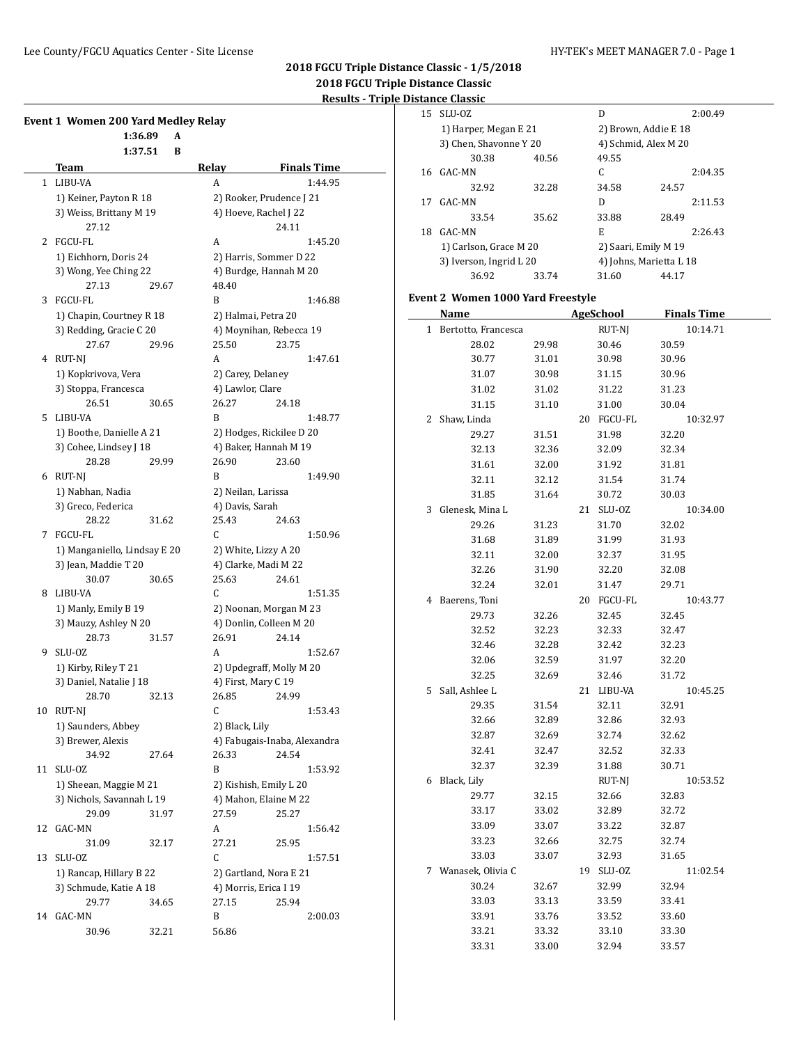**Event 1** 

# **2018 FGCU Triple Distance Classic - 1/5/2018 2018 FGCU Triple Distance Classic Results - Triple Distance Classic**

15 SLU-OZ D 2:00.49 1) Harper, Megan E 21 2) Brown, Addie E 18 3) Chen, Shavonne Y 20 4) Schmid, Alex M 20 30.38 40.56 49.55

16 GAC-MN C 2:04.35 32.92 32.28 34.58 24.57 17 GAC-MN D 2:11.53 33.54 35.62 33.88 28.49 18 GAC-MN E 2:26.43

|                |                                  |       |                   | Results - Triple         |  |
|----------------|----------------------------------|-------|-------------------|--------------------------|--|
|                | nt 1 Women 200 Yard Medley Relay |       |                   |                          |  |
|                | 1:36.89                          | A     |                   |                          |  |
|                | 1:37.51                          | B     |                   |                          |  |
|                | Team                             |       | Relav             | <b>Finals Time</b>       |  |
| $\mathbf{1}$   | LIBU-VA                          |       | A                 | 1:44.95                  |  |
|                | 1) Keiner, Payton R 18           |       |                   | 2) Rooker, Prudence J 21 |  |
|                | 3) Weiss, Brittany M 19          |       |                   | 4) Hoeve, Rachel J 22    |  |
|                | 27.12                            |       |                   | 24.11                    |  |
| $\overline{2}$ | <b>FGCU-FL</b>                   |       | A                 | 1:45.20                  |  |
|                | 1) Eichhorn, Doris 24            |       |                   | 2) Harris, Sommer D 22   |  |
|                | 3) Wong, Yee Ching 22            |       |                   | 4) Burdge, Hannah M 20   |  |
|                | 27.13                            | 29.67 | 48.40             |                          |  |
| 3              | FGCU-FL                          |       | R                 | 1:46.88                  |  |
|                | 1) Chapin, Courtney R 18         |       |                   | 2) Halmai, Petra 20      |  |
|                | 3) Redding, Gracie C 20          |       |                   | 4) Moynihan, Rebecca 19  |  |
|                | 27.67                            | 29.96 | 25.50             | 23.75                    |  |
|                | 4 RUT-NJ                         |       | A                 | 1:47.61                  |  |
|                | 1) Kopkrivova, Vera              |       | 2) Carey, Delaney |                          |  |
|                | 3) Stoppa, Francesca             |       | 4) Lawlor, Clare  |                          |  |
|                | 26.51                            | 30.65 | 26.27             | 24.18                    |  |
| 5              | LIBU-VA                          |       | B                 | 1:48.77                  |  |

1) Boothe, Danielle A 21 2) Hodges, Rickilee D 20 3) Cohee, Lindsey J 18 4) Baker, Hannah M 19 28.28 29.99 26.90 23.60 6 RUT-NJ B 1:49.90 1) Nabhan, Nadia 2) Neilan, Larissa 3) Greco, Federica (4) Davis, Sarah

28.22 31.62 25.43 24.63 7 FGCU-FL C 1:50.96 1) Manganiello, Lindsay E 20 2) White, Lizzy A 20 3) Jean, Maddie T 20 4) Clarke, Madi M 22 30.07 30.65 25.63 24.61 8 LIBU-VA C 1:51.35 1) Manly, Emily B 19 2) Noonan, Morgan M 23 3) Mauzy, Ashley N 20 4) Donlin, Colleen M 20 28.73 31.57 26.91 24.14 9 SLU-OZ A 1:52.67 1) Kirby, Riley T 21 2) Updegraff, Molly M 20 3) Daniel, Natalie J 18 4) First, Mary C 19 28.70 32.13 26.85 24.99 10 RUT-NJ C 1:53.43

1) Saunders, Abbey 2) Black, Lily

30.96 32.21 56.86

3) Brewer, Alexis (4) Fabugais-Inaba, Alexandra 34.92 27.64 26.33 24.54 11 SLU-OZ B 1:53.92 1) Sheean, Maggie M 21 2) Kishish, Emily L 20 3) Nichols, Savannah L 19 4) Mahon, Elaine M 22 29.09 31.97 27.59 25.27 12 GAC-MN A 1:56.42 31.09 32.17 27.21 25.95 13 SLU-OZ C 1:57.51 1) Rancap, Hillary B 22 2) Gartland, Nora E 21 3) Schmude, Katie A 18 4) Morris, Erica I 19 29.77 34.65 27.15 25.94 14 GAC-MN B 2:00.03

|   | 1) Carlson, Grace M 20                   |       |    | 2) Saari, Emily M 19 |                         |
|---|------------------------------------------|-------|----|----------------------|-------------------------|
|   | 3) Iverson, Ingrid L 20                  |       |    |                      | 4) Johns, Marietta L 18 |
|   | 36.92                                    | 33.74 |    | 31.60                | 44.17                   |
|   | <b>Event 2 Women 1000 Yard Freestyle</b> |       |    |                      |                         |
|   | Name                                     |       |    | <b>AgeSchool</b>     | <b>Finals Time</b>      |
|   | 1 Bertotto, Francesca                    |       |    | RUT-NJ               | 10:14.71                |
|   | 28.02                                    | 29.98 |    | 30.46                | 30.59                   |
|   | 30.77                                    | 31.01 |    | 30.98                | 30.96                   |
|   | 31.07                                    | 30.98 |    | 31.15                | 30.96                   |
|   | 31.02                                    | 31.02 |    | 31.22                | 31.23                   |
|   | 31.15                                    | 31.10 |    | 31.00                | 30.04                   |
| 2 | Shaw, Linda                              |       |    | 20 FGCU-FL           | 10:32.97                |
|   | 29.27                                    | 31.51 |    | 31.98                | 32.20                   |
|   | 32.13                                    | 32.36 |    | 32.09                | 32.34                   |
|   | 31.61                                    | 32.00 |    | 31.92                | 31.81                   |
|   | 32.11                                    | 32.12 |    | 31.54                | 31.74                   |
|   | 31.85                                    | 31.64 |    | 30.72                | 30.03                   |
| 3 | Glenesk, Mina L                          |       |    | 21 SLU-0Z            | 10:34.00                |
|   | 29.26                                    | 31.23 |    | 31.70                | 32.02                   |
|   | 31.68                                    | 31.89 |    | 31.99                | 31.93                   |
|   | 32.11                                    | 32.00 |    | 32.37                | 31.95                   |
|   | 32.26                                    | 31.90 |    | 32.20                | 32.08                   |
|   | 32.24                                    | 32.01 |    | 31.47                | 29.71                   |
|   | 4 Baerens, Toni                          |       |    | 20 FGCU-FL           | 10:43.77                |
|   | 29.73                                    | 32.26 |    | 32.45                | 32.45                   |
|   | 32.52                                    | 32.23 |    | 32.33                | 32.47                   |
|   | 32.46                                    | 32.28 |    | 32.42                | 32.23                   |
|   | 32.06                                    | 32.59 |    | 31.97                | 32.20                   |
|   | 32.25                                    | 32.69 |    | 32.46                | 31.72                   |
|   | 5 Sall, Ashlee L                         |       |    | 21 LIBU-VA           | 10:45.25                |
|   | 29.35                                    | 31.54 |    | 32.11                | 32.91                   |
|   | 32.66                                    | 32.89 |    | 32.86                | 32.93                   |
|   | 32.87                                    | 32.69 |    | 32.74                | 32.62                   |
|   | 32.41                                    | 32.47 |    | 32.52                | 32.33                   |
|   | 32.37                                    | 32.39 |    | 31.88                | 30.71                   |
| 6 | Black, Lily                              |       |    | RUT-NJ               | 10:53.52                |
|   | 29.77                                    | 32.15 |    | 32.66                | 32.83                   |
|   | 33.17                                    | 33.02 |    | 32.89                | 32.72                   |
|   | 33.09                                    | 33.07 |    | 33.22                | 32.87                   |
|   | 33.23                                    | 32.66 |    | 32.75                | 32.74                   |
|   | 33.03                                    | 33.07 |    | 32.93                | 31.65                   |
| 7 | Wanasek, Olivia C                        |       | 19 | SLU-OZ               | 11:02.54                |
|   | 30.24                                    | 32.67 |    | 32.99                | 32.94                   |
|   | 33.03                                    | 33.13 |    | 33.59                | 33.41                   |
|   | 33.91                                    | 33.76 |    | 33.52                | 33.60                   |
|   | 33.21                                    | 33.32 |    | 33.10                | 33.30                   |
|   | 33.31                                    | 33.00 |    | 32.94                | 33.57                   |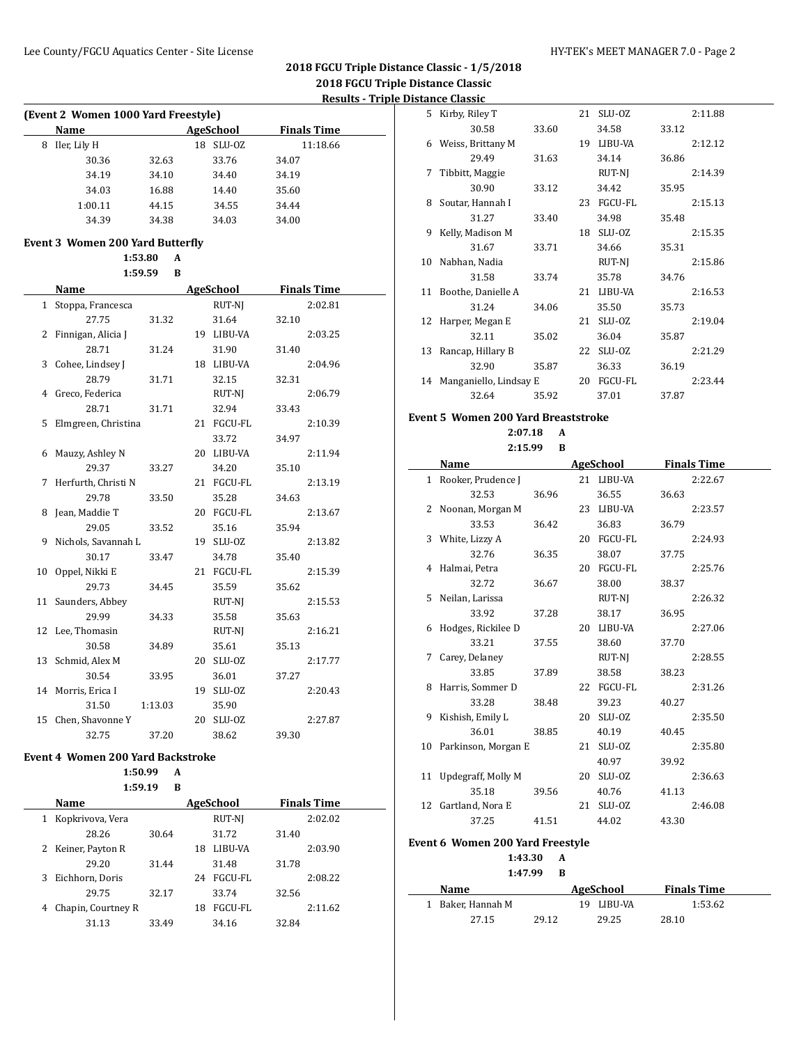|   | (Event 2 Women 1000 Yard Freestyle) |       |              |                    |  |  |  |  |  |  |  |
|---|-------------------------------------|-------|--------------|--------------------|--|--|--|--|--|--|--|
|   | <b>Name</b>                         |       | AgeSchool    | <b>Finals Time</b> |  |  |  |  |  |  |  |
| 8 | Iler, Lily H                        |       | SLU-OZ<br>18 | 11:18.66           |  |  |  |  |  |  |  |
|   | 30.36                               | 32.63 | 33.76        | 34.07              |  |  |  |  |  |  |  |
|   | 34.19                               | 34.10 | 34.40        | 34.19              |  |  |  |  |  |  |  |
|   | 34.03                               | 16.88 | 14.40        | 35.60              |  |  |  |  |  |  |  |
|   | 1:00.11                             | 44.15 | 34.55        | 34.44              |  |  |  |  |  |  |  |
|   | 34.39                               | 34.38 | 34.03        | 34.00              |  |  |  |  |  |  |  |

#### **Event 3 Women 200 Yard Butterfly**

 $\overline{a}$ 

**1:53.80 A**

| 1:59.59<br>B |                     |         |    |                  |       |                    |  |  |  |
|--------------|---------------------|---------|----|------------------|-------|--------------------|--|--|--|
|              | Name                |         |    | <b>AgeSchool</b> |       | <b>Finals Time</b> |  |  |  |
| 1            | Stoppa, Francesca   |         |    | RUT-NJ           |       | 2:02.81            |  |  |  |
|              | 27.75               | 31.32   |    | 31.64            | 32.10 |                    |  |  |  |
| 2            | Finnigan, Alicia J  |         |    | 19 LIBU-VA       |       | 2:03.25            |  |  |  |
|              | 28.71               | 31.24   |    | 31.90            | 31.40 |                    |  |  |  |
| 3            | Cohee, Lindsey J    |         |    | 18 LIBU-VA       |       | 2:04.96            |  |  |  |
|              | 28.79               | 31.71   |    | 32.15            | 32.31 |                    |  |  |  |
| 4            | Greco, Federica     |         |    | RUT-NJ           |       | 2:06.79            |  |  |  |
|              | 28.71               | 31.71   |    | 32.94            | 33.43 |                    |  |  |  |
| 5            | Elmgreen, Christina |         |    | 21 FGCU-FL       |       | 2:10.39            |  |  |  |
|              |                     |         |    | 33.72            | 34.97 |                    |  |  |  |
| 6            | Mauzy, Ashley N     |         |    | 20 LIBU-VA       |       | 2:11.94            |  |  |  |
|              | 29.37               | 33.27   |    | 34.20            | 35.10 |                    |  |  |  |
| 7            | Herfurth, Christi N |         |    | 21 FGCU-FL       |       | 2:13.19            |  |  |  |
|              | 29.78               | 33.50   |    | 35.28            | 34.63 |                    |  |  |  |
| 8            | Jean, Maddie T      |         |    | 20 FGCU-FL       |       | 2:13.67            |  |  |  |
|              | 29.05               | 33.52   |    | 35.16            | 35.94 |                    |  |  |  |
| 9            | Nichols, Savannah L |         |    | 19 SLU-OZ        |       | 2:13.82            |  |  |  |
|              | 30.17               | 33.47   |    | 34.78            | 35.40 |                    |  |  |  |
| 10           | Oppel, Nikki E      |         |    | 21 FGCU-FL       |       | 2:15.39            |  |  |  |
|              | 29.73               | 34.45   |    | 35.59            | 35.62 |                    |  |  |  |
| 11           | Saunders, Abbey     |         |    | RUT-NJ           |       | 2:15.53            |  |  |  |
|              | 29.99               | 34.33   |    | 35.58            | 35.63 |                    |  |  |  |
|              | 12 Lee, Thomasin    |         |    | RUT-NJ           |       | 2:16.21            |  |  |  |
|              | 30.58               | 34.89   |    | 35.61            | 35.13 |                    |  |  |  |
|              | 13 Schmid, Alex M   |         | 20 | SLU-OZ           |       | 2:17.77            |  |  |  |
|              | 30.54               | 33.95   |    | 36.01            | 37.27 |                    |  |  |  |
|              | 14 Morris, Erica I  |         |    | 19 SLU-OZ        |       | 2:20.43            |  |  |  |
|              | 31.50               | 1:13.03 |    | 35.90            |       |                    |  |  |  |
| 15           | Chen, Shavonne Y    |         | 20 | SLU-OZ           |       | 2:27.87            |  |  |  |
|              | 32.75               | 37.20   |    | 38.62            | 39.30 |                    |  |  |  |

#### **Event 4 Women 200 Yard Backstroke**

#### **1:50.99 A**

#### **1:59.19 B**

| Name                 |                    |       | AgeSchool      | <b>Finals Time</b> |         |  |
|----------------------|--------------------|-------|----------------|--------------------|---------|--|
| 1                    | Kopkrivova, Vera   |       | RUT-NJ         |                    | 2:02.02 |  |
|                      | 28.26              | 30.64 | 31.72          | 31.40              |         |  |
| 2 Keiner, Payton R   |                    | 18    | LIBU-VA        |                    | 2:03.90 |  |
|                      | 29.20              | 31.44 | 31.48          | 31.78              |         |  |
| Eichhorn, Doris<br>3 |                    | 24    | FGCU-FL        |                    | 2:08.22 |  |
|                      | 29.75              | 32.17 | 33.74          | 32.56              |         |  |
| 4                    | Chapin, Courtney R | 18    | <b>FGCU-FL</b> |                    | 2:11.62 |  |
|                      | 31.13              | 33.49 | 34.16          | 32.84              |         |  |

| 5. | Kirby, Riley T         |       | 21 | SLU-OZ         |       | 2:11.88 |
|----|------------------------|-------|----|----------------|-------|---------|
|    | 30.58                  | 33.60 |    | 34.58          | 33.12 |         |
| 6  | Weiss, Brittany M      |       | 19 | LIBU-VA        |       | 2:12.12 |
|    | 29.49                  | 31.63 |    | 34.14          | 36.86 |         |
| 7  | Tibbitt, Maggie        |       |    | RUT-NJ         |       | 2:14.39 |
|    | 30.90                  | 33.12 |    | 34.42          | 35.95 |         |
| 8  | Soutar, Hannah I       |       | 23 | <b>FGCU-FL</b> |       | 2:15.13 |
|    | 31.27                  | 33.40 |    | 34.98          | 35.48 |         |
| 9  | Kelly, Madison M       |       | 18 | SLU-OZ         |       | 2:15.35 |
|    | 31.67                  | 33.71 |    | 34.66          | 35.31 |         |
| 10 | Nabhan, Nadia          |       |    | RUT-NJ         |       | 2:15.86 |
|    | 31.58                  | 33.74 |    | 35.78          | 34.76 |         |
| 11 | Boothe, Danielle A     |       | 21 | LIBU-VA        |       | 2:16.53 |
|    | 31.24                  | 34.06 |    | 35.50          | 35.73 |         |
| 12 | Harper, Megan E        |       | 21 | SLU-OZ         |       | 2:19.04 |
|    | 32.11                  | 35.02 |    | 36.04          | 35.87 |         |
| 13 | Rancap, Hillary B      |       | 22 | SLU-OZ         |       | 2:21.29 |
|    | 32.90                  | 35.87 |    | 36.33          | 36.19 |         |
| 14 | Manganiello, Lindsay E |       | 20 | FGCU-FL        |       | 2:23.44 |
|    | 32.64                  | 35.92 |    | 37.01          | 37.87 |         |

#### **Event 5 Women 200 Yard Breaststroke**

**2:07.18 A**

| Name |                        | <b>AgeSchool</b> |  |            | <b>Finals Time</b> |         |  |
|------|------------------------|------------------|--|------------|--------------------|---------|--|
|      | 1 Rooker, Prudence J   |                  |  | 21 LIBU-VA |                    | 2:22.67 |  |
|      | 32.53                  | 36.96            |  | 36.55      | 36.63              |         |  |
|      | 2 Noonan, Morgan M     |                  |  | 23 LIBU-VA |                    | 2:23.57 |  |
|      | 33.53                  | 36.42            |  | 36.83      | 36.79              |         |  |
|      | 3 White, Lizzy A       |                  |  | 20 FGCU-FL |                    | 2:24.93 |  |
|      | 32.76                  | 36.35            |  | 38.07      | 37.75              |         |  |
|      | 4 Halmai, Petra        |                  |  | 20 FGCU-FL |                    | 2:25.76 |  |
|      | 32.72                  | 36.67            |  | 38.00      | 38.37              |         |  |
|      | 5 Neilan, Larissa      |                  |  | RUT-NJ     |                    | 2:26.32 |  |
|      | 33.92                  | 37.28            |  | 38.17      | 36.95              |         |  |
|      | 6 Hodges, Rickilee D   |                  |  | 20 LIBU-VA |                    | 2:27.06 |  |
|      | 33.21                  | 37.55            |  | 38.60      | 37.70              |         |  |
| 7    | Carey, Delaney         |                  |  | RUT-NJ     |                    | 2:28.55 |  |
|      | 33.85                  | 37.89            |  | 38.58      | 38.23              |         |  |
|      | 8 Harris, Sommer D     |                  |  | 22 FGCU-FL |                    | 2:31.26 |  |
|      | 33.28                  | 38.48            |  | 39.23      | 40.27              |         |  |
|      | 9 Kishish, Emily L     |                  |  | 20 SLU-0Z  |                    | 2:35.50 |  |
|      | 36.01                  | 38.85            |  | 40.19      | 40.45              |         |  |
|      | 10 Parkinson, Morgan E |                  |  | 21 SLU-0Z  |                    | 2:35.80 |  |
|      |                        |                  |  | 40.97      | 39.92              |         |  |
|      | 11 Updegraff, Molly M  |                  |  | 20 SLU-0Z  |                    | 2:36.63 |  |
|      | 35.18                  | 39.56            |  | 40.76      | 41.13              |         |  |
|      | 12 Gartland, Nora E    |                  |  | 21 SLU-0Z  |                    | 2:46.08 |  |
|      | 37.25                  | 41.51            |  | 44.02      | 43.30              |         |  |
|      |                        |                  |  |            |                    |         |  |

#### **Event 6 Women 200 Yard Freestyle**

**1:43.30 A**

#### **1:47.99 B**

| Name              |       | AgeSchool  | <b>Finals Time</b> |  |
|-------------------|-------|------------|--------------------|--|
| 1 Baker. Hannah M |       | 19 LIBU-VA | 1:53.62            |  |
| 27.15             | 29.12 | 29.25      | 28.10              |  |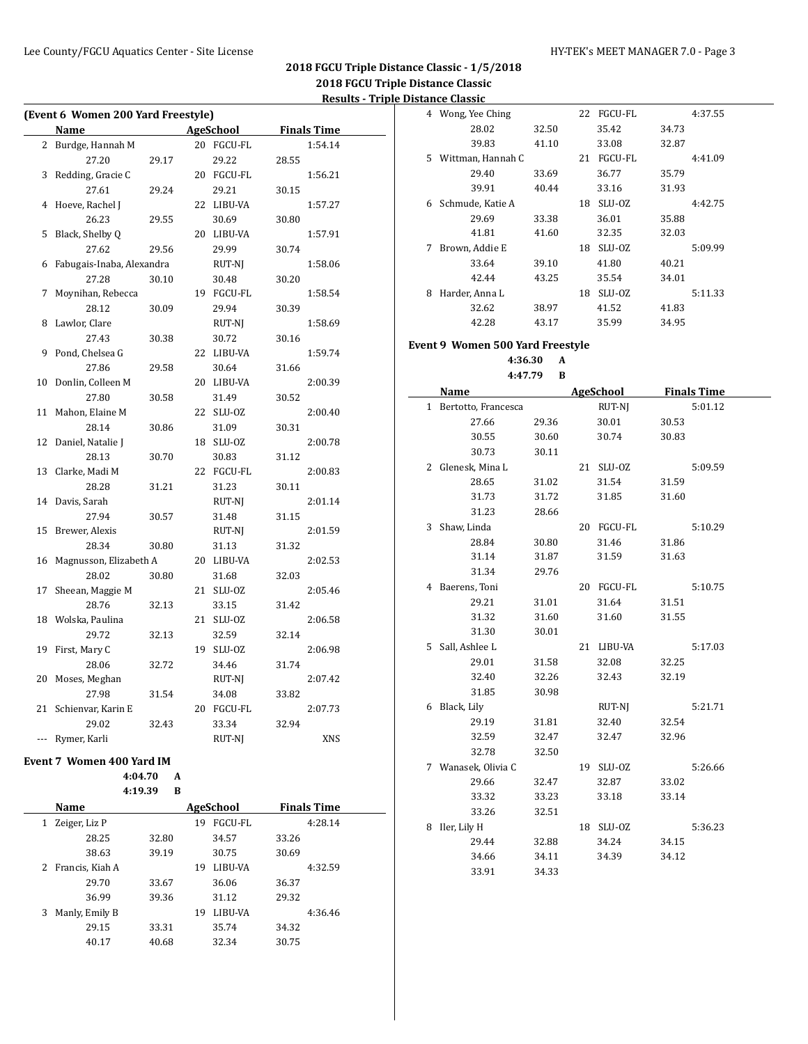| (Event 6 Women 200 Yard Freestyle)             |                           |       |    |            |       |         |  |  |  |
|------------------------------------------------|---------------------------|-------|----|------------|-------|---------|--|--|--|
| <b>AgeSchool</b><br><b>Finals Time</b><br>Name |                           |       |    |            |       |         |  |  |  |
| 2                                              | Burdge, Hannah M          |       |    | 20 FGCU-FL |       | 1:54.14 |  |  |  |
|                                                | 27.20                     | 29.17 |    | 29.22      | 28.55 |         |  |  |  |
| 3                                              | Redding, Gracie C         |       |    | 20 FGCU-FL |       | 1:56.21 |  |  |  |
|                                                | 27.61                     | 29.24 |    | 29.21      | 30.15 |         |  |  |  |
| 4                                              | Hoeve, Rachel J           |       |    | 22 LIBU-VA |       | 1:57.27 |  |  |  |
|                                                | 26.23                     | 29.55 |    | 30.69      | 30.80 |         |  |  |  |
| 5                                              | Black, Shelby Q           |       |    | 20 LIBU-VA |       | 1:57.91 |  |  |  |
|                                                | 27.62                     | 29.56 |    | 29.99      | 30.74 |         |  |  |  |
| 6                                              | Fabugais-Inaba, Alexandra |       |    | RUT-NJ     |       | 1:58.06 |  |  |  |
|                                                | 27.28                     | 30.10 |    | 30.48      | 30.20 |         |  |  |  |
| 7                                              | Moynihan, Rebecca         |       |    | 19 FGCU-FL |       | 1:58.54 |  |  |  |
|                                                | 28.12                     | 30.09 |    | 29.94      | 30.39 |         |  |  |  |
| 8                                              | Lawlor, Clare             |       |    | RUT-NJ     |       | 1:58.69 |  |  |  |
|                                                | 27.43                     | 30.38 |    | 30.72      | 30.16 |         |  |  |  |
| 9                                              | Pond, Chelsea G           |       |    | 22 LIBU-VA |       | 1:59.74 |  |  |  |
|                                                | 27.86                     | 29.58 |    | 30.64      | 31.66 |         |  |  |  |
| 10                                             | Donlin, Colleen M         |       | 20 | LIBU-VA    |       | 2:00.39 |  |  |  |
|                                                | 27.80                     | 30.58 |    | 31.49      | 30.52 |         |  |  |  |
| 11                                             | Mahon, Elaine M           |       | 22 | SLU-OZ     |       | 2:00.40 |  |  |  |
|                                                | 28.14                     | 30.86 |    | 31.09      | 30.31 |         |  |  |  |
| 12                                             | Daniel, Natalie J         |       | 18 | SLU-OZ     |       | 2:00.78 |  |  |  |
|                                                | 28.13                     | 30.70 |    | 30.83      | 31.12 |         |  |  |  |
| 13                                             | Clarke, Madi M            |       | 22 | FGCU-FL    |       | 2:00.83 |  |  |  |
|                                                | 28.28                     | 31.21 |    | 31.23      | 30.11 |         |  |  |  |
| 14                                             | Davis, Sarah              |       |    | RUT-NJ     |       | 2:01.14 |  |  |  |
|                                                | 27.94                     | 30.57 |    | 31.48      | 31.15 |         |  |  |  |
| 15                                             | Brewer, Alexis            |       |    | RUT-NJ     |       | 2:01.59 |  |  |  |
|                                                | 28.34                     | 30.80 |    | 31.13      | 31.32 |         |  |  |  |
| 16                                             | Magnusson, Elizabeth A    |       | 20 | LIBU-VA    |       | 2:02.53 |  |  |  |
|                                                | 28.02                     | 30.80 |    | 31.68      | 32.03 |         |  |  |  |
| 17                                             | Sheean, Maggie M          |       | 21 | SLU-OZ     |       | 2:05.46 |  |  |  |
|                                                | 28.76                     | 32.13 |    | 33.15      | 31.42 |         |  |  |  |
| 18                                             | Wolska, Paulina           |       | 21 | SLU-OZ     |       | 2:06.58 |  |  |  |
|                                                | 29.72                     | 32.13 |    | 32.59      | 32.14 |         |  |  |  |
| 19                                             | First, Mary C             |       |    | 19 SLU-0Z  |       | 2:06.98 |  |  |  |
|                                                | 28.06                     | 32.72 |    | 34.46      | 31.74 |         |  |  |  |
| 20                                             | Moses, Meghan             |       |    | RUT-NJ     |       | 2:07.42 |  |  |  |
|                                                | 27.98                     | 31.54 |    | 34.08      | 33.82 |         |  |  |  |
| 21                                             | Schienvar, Karin E        |       |    | 20 FGCU-FL |       | 2:07.73 |  |  |  |
|                                                | 29.02                     | 32.43 |    | 33.34      | 32.94 |         |  |  |  |
| ---                                            | Rymer, Karli              |       |    | RUT-NJ     |       | XNS     |  |  |  |
|                                                | Event 7 Women 400 Yard IM |       |    |            |       |         |  |  |  |

**4:04.70 A 4:19.39 B**

**Name AgeSchool Finals Time** 1 Zeiger, Liz P 19 FGCU-FL 4:28.14 28.25 32.80 34.57 33.26 38.63 39.19 30.75 30.69 2 Francis, Kiah A 19 LIBU-VA 4:32.59 29.70 33.67 36.06 36.37 36.99 39.36 31.12 29.32 3 Manly, Emily B 19 LIBU-VA 4:36.46 29.15 33.31 35.74 34.32 40.17 40.68 32.34 30.75

# 4 Wong, Yee Ching 22 FGCU-FL 4:37.55 28.02 32.50 35.42 34.73 39.83 41.10 33.08 32.87 5 Wittman, Hannah C 21 FGCU-FL 4:41.09 29.40 33.69 36.77 35.79 39.91 40.44 33.16 31.93 6 Schmude, Katie A 18 SLU-OZ 4:42.75 29.69 33.38 36.01 35.88 41.81 41.60 32.35 32.03 7 Brown, Addie E 18 SLU-OZ 5:09.99 33.64 39.10 41.80 40.21 42.44 43.25 35.54 34.01 8 Harder, Anna L 18 SLU-OZ 5:11.33 32.62 38.97 41.52 41.83 42.28 43.17 35.99 34.95

#### **Event 9 Women 500 Yard Freestyle**

**4:36.30 A 4:47.79 B**

|       | Name                |       |    | <b>AgeSchool</b> | <b>Finals Time</b> |         |  |
|-------|---------------------|-------|----|------------------|--------------------|---------|--|
| $1\,$ | Bertotto, Francesca |       |    | RUT-NJ           |                    | 5:01.12 |  |
|       | 27.66               | 29.36 |    | 30.01            | 30.53              |         |  |
|       | 30.55               | 30.60 |    | 30.74            | 30.83              |         |  |
|       | 30.73               | 30.11 |    |                  |                    |         |  |
| 2     | Glenesk, Mina L     |       |    | 21 SLU-0Z        |                    | 5:09.59 |  |
|       | 28.65               | 31.02 |    | 31.54            | 31.59              |         |  |
|       | 31.73               | 31.72 |    | 31.85            | 31.60              |         |  |
|       | 31.23               | 28.66 |    |                  |                    |         |  |
| 3     | Shaw, Linda         |       | 20 | FGCU-FL          |                    | 5:10.29 |  |
|       | 28.84               | 30.80 |    | 31.46            | 31.86              |         |  |
|       | 31.14               | 31.87 |    | 31.59            | 31.63              |         |  |
|       | 31.34               | 29.76 |    |                  |                    |         |  |
| 4     | Baerens, Toni       |       |    | 20 FGCU-FL       |                    | 5:10.75 |  |
|       | 29.21               | 31.01 |    | 31.64            | 31.51              |         |  |
|       | 31.32               | 31.60 |    | 31.60            | 31.55              |         |  |
|       | 31.30               | 30.01 |    |                  |                    |         |  |
| 5.    | Sall, Ashlee L      |       | 21 | LIBU-VA          |                    | 5:17.03 |  |
|       | 29.01               | 31.58 |    | 32.08            | 32.25              |         |  |
|       | 32.40               | 32.26 |    | 32.43            | 32.19              |         |  |
|       | 31.85               | 30.98 |    |                  |                    |         |  |
| 6     | Black, Lily         |       |    | RUT-NJ           |                    | 5:21.71 |  |
|       | 29.19               | 31.81 |    | 32.40            | 32.54              |         |  |
|       | 32.59               | 32.47 |    | 32.47            | 32.96              |         |  |
|       | 32.78               | 32.50 |    |                  |                    |         |  |
|       | 7 Wanasek, Olivia C |       | 19 | SLU-OZ           |                    | 5:26.66 |  |
|       | 29.66               | 32.47 |    | 32.87            | 33.02              |         |  |
|       | 33.32               | 33.23 |    | 33.18            | 33.14              |         |  |
|       | 33.26               | 32.51 |    |                  |                    |         |  |
| 8     | Iler, Lily H        |       |    | 18 SLU-0Z        |                    | 5:36.23 |  |
|       | 29.44               | 32.88 |    | 34.24            | 34.15              |         |  |
|       | 34.66               | 34.11 |    | 34.39            | 34.12              |         |  |
|       | 33.91               | 34.33 |    |                  |                    |         |  |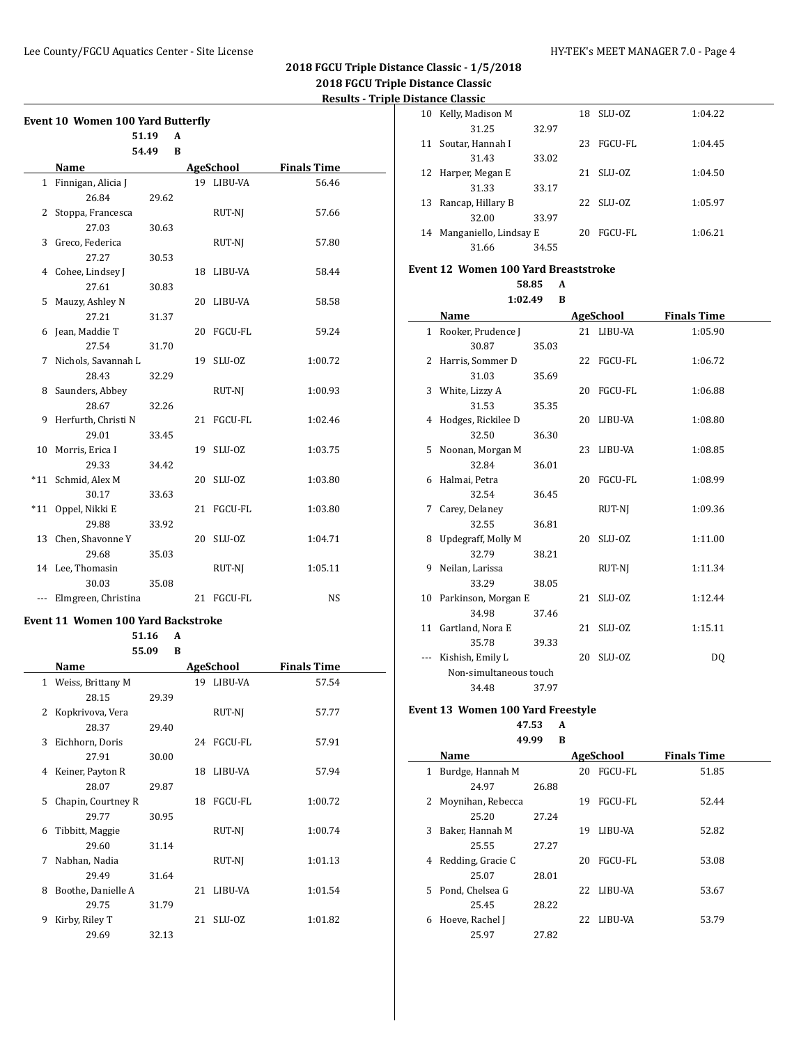$\overline{\phantom{0}}$ 

| <b>Event 10 Women 100 Yard Butterfly</b> |                     |       |    |                |                    |  |  |  |  |
|------------------------------------------|---------------------|-------|----|----------------|--------------------|--|--|--|--|
|                                          |                     | 51.19 | A  |                |                    |  |  |  |  |
|                                          |                     | 54.49 | B  |                |                    |  |  |  |  |
|                                          | Name                |       |    | AgeSchool      | <b>Finals Time</b> |  |  |  |  |
| 1                                        | Finnigan, Alicia J  |       |    | 19 LIBU-VA     | 56.46              |  |  |  |  |
|                                          | 26.84               | 29.62 |    |                |                    |  |  |  |  |
| $\mathbf{2}$                             | Stoppa, Francesca   |       |    | RUT-NJ         | 57.66              |  |  |  |  |
|                                          | 27.03               | 30.63 |    |                |                    |  |  |  |  |
| 3                                        | Greco, Federica     |       |    | RUT-NJ         | 57.80              |  |  |  |  |
|                                          | 27.27               | 30.53 |    |                |                    |  |  |  |  |
|                                          | 4 Cohee, Lindsey J  |       | 18 | LIBU-VA        | 58.44              |  |  |  |  |
|                                          | 27.61               | 30.83 |    |                |                    |  |  |  |  |
| 5                                        | Mauzy, Ashley N     |       | 20 | LIBU-VA        | 58.58              |  |  |  |  |
|                                          | 27.21               | 31.37 |    |                |                    |  |  |  |  |
| 6                                        | Jean, Maddie T      |       | 20 | <b>FGCU-FL</b> | 59.24              |  |  |  |  |
|                                          | 27.54               | 31.70 |    |                |                    |  |  |  |  |
| 7                                        | Nichols, Savannah L |       | 19 | SLU-OZ         | 1:00.72            |  |  |  |  |
|                                          | 28.43               | 32.29 |    |                |                    |  |  |  |  |
| 8                                        | Saunders, Abbey     |       |    | RUT-NJ         | 1:00.93            |  |  |  |  |
|                                          | 28.67               | 32.26 |    |                |                    |  |  |  |  |
| 9                                        | Herfurth, Christi N |       | 21 | FGCU-FL        | 1:02.46            |  |  |  |  |
|                                          | 29.01               | 33.45 |    |                |                    |  |  |  |  |
| 10                                       | Morris, Erica I     |       | 19 | SLU-OZ         | 1:03.75            |  |  |  |  |
|                                          | 29.33               | 34.42 |    |                |                    |  |  |  |  |
|                                          | *11 Schmid, Alex M  |       | 20 | SLU-OZ         | 1:03.80            |  |  |  |  |
|                                          | 30.17               | 33.63 |    |                |                    |  |  |  |  |
| $*11$                                    | Oppel, Nikki E      |       | 21 | FGCU-FL        | 1:03.80            |  |  |  |  |
|                                          | 29.88               | 33.92 |    |                |                    |  |  |  |  |
| 13                                       | Chen, Shavonne Y    |       | 20 | SLU-OZ         | 1:04.71            |  |  |  |  |
|                                          | 29.68               | 35.03 |    |                |                    |  |  |  |  |
|                                          | 14 Lee, Thomasin    |       |    | RUT-NJ         | 1:05.11            |  |  |  |  |
|                                          | 30.03               | 35.08 |    |                |                    |  |  |  |  |
| ---                                      | Elmgreen, Christina |       | 21 | FGCU-FL        | NS                 |  |  |  |  |

#### **Event 11 Women 100 Yard Backstroke**

**51.16 A 55.09 B**

| <b>Finals Time</b> |
|--------------------|
| 57.54              |
|                    |
| 57.77              |
|                    |
| 57.91              |
|                    |
| 57.94              |
|                    |
| 1:00.72            |
|                    |
| 1:00.74            |
|                    |
| 1:01.13            |
|                    |
| 1:01.54            |
|                    |
| 1:01.82            |
|                    |
|                    |

| 10 | Kelly, Madison M       |       | 18 | SLU-0Z    | 1:04.22 |
|----|------------------------|-------|----|-----------|---------|
|    | 31.25                  | 32.97 |    |           |         |
| 11 | Soutar, Hannah I       |       | 23 | FGCU-FL   | 1:04.45 |
|    | 31.43                  | 33.02 |    |           |         |
| 12 | Harper, Megan E        |       | 21 | SLU-0Z    | 1:04.50 |
|    | 31.33                  | 33.17 |    |           |         |
| 13 | Rancap, Hillary B      |       |    | 22 SLU-07 | 1:05.97 |
|    | 32.00                  | 33.97 |    |           |         |
| 14 | Manganiello, Lindsay E |       | 20 | FGCU-FL   | 1:06.21 |
|    | 31.66                  | 34.55 |    |           |         |

# **Event 12 Women 100 Yard Breaststroke**

#### **58.85 A 1:02.49 B**

|    | 1.04.49                | D     |    |            |                    |
|----|------------------------|-------|----|------------|--------------------|
|    | Name                   |       |    | AgeSchool  | <b>Finals Time</b> |
|    | 1 Rooker, Prudence J   |       |    | 21 LIBU-VA | 1:05.90            |
|    | 30.87                  | 35.03 |    |            |                    |
| 2  | Harris, Sommer D       |       |    | 22 FGCU-FL | 1:06.72            |
|    | 31.03                  | 35.69 |    |            |                    |
|    | 3 White, Lizzy A       |       |    | 20 FGCU-FL | 1:06.88            |
|    | 31.53                  | 35.35 |    |            |                    |
| 4  | Hodges, Rickilee D     |       |    | 20 LIBU-VA | 1:08.80            |
|    | 32.50                  | 36.30 |    |            |                    |
| 5. | Noonan, Morgan M       |       |    | 23 LIBU-VA | 1:08.85            |
|    | 32.84                  | 36.01 |    |            |                    |
| 6. | Halmai, Petra          |       | 20 | FGCU-FL    | 1:08.99            |
|    | 32.54                  | 36.45 |    |            |                    |
| 7  | Carey, Delaney         |       |    | RUT-NJ     | 1:09.36            |
|    | 32.55                  | 36.81 |    |            |                    |
| 8  | Updegraff, Molly M     |       | 20 | SLU-OZ     | 1:11.00            |
|    | 32.79                  | 38.21 |    |            |                    |
| 9  | Neilan, Larissa        |       |    | RUT-NI     | 1:11.34            |
|    | 33.29                  | 38.05 |    |            |                    |
|    | 10 Parkinson, Morgan E |       | 21 | SLU-OZ     | 1:12.44            |
|    | 34.98                  | 37.46 |    |            |                    |
| 11 | Gartland, Nora E       |       | 21 | SLU-OZ     | 1:15.11            |
|    | 35.78                  | 39.33 |    |            |                    |
|    | Kishish, Emily L       |       | 20 | SLU-OZ     | DQ                 |
|    | Non-simultaneous touch |       |    |            |                    |
|    | 34.48                  | 37.97 |    |            |                    |

### **Event 13 Women 100 Yard Freestyle**

# **47.53 A**

| 49.99<br>В |                   |       |     |                |                    |  |
|------------|-------------------|-------|-----|----------------|--------------------|--|
|            | Name              |       |     | AgeSchool      | <b>Finals Time</b> |  |
| 1          | Burdge, Hannah M  |       | 20  | FGCU-FL        | 51.85              |  |
|            | 24.97             | 26.88 |     |                |                    |  |
|            | Moynihan, Rebecca |       | 19  | <b>FGCU-FL</b> | 52.44              |  |
|            | 25.20             | 27.24 |     |                |                    |  |
| 3          | Baker, Hannah M   |       | 19  | LIBU-VA        | 52.82              |  |
|            | 25.55             | 27.27 |     |                |                    |  |
| 4          | Redding, Gracie C |       | 20  | <b>FGCU-FL</b> | 53.08              |  |
|            | 25.07             | 28.01 |     |                |                    |  |
| 5.         | Pond, Chelsea G   |       | 22  | LIBU-VA        | 53.67              |  |
|            | 25.45             | 28.22 |     |                |                    |  |
| 6          | Hoeve, Rachel J   |       | 22. | LIBU-VA        | 53.79              |  |
|            | 25.97             | 27.82 |     |                |                    |  |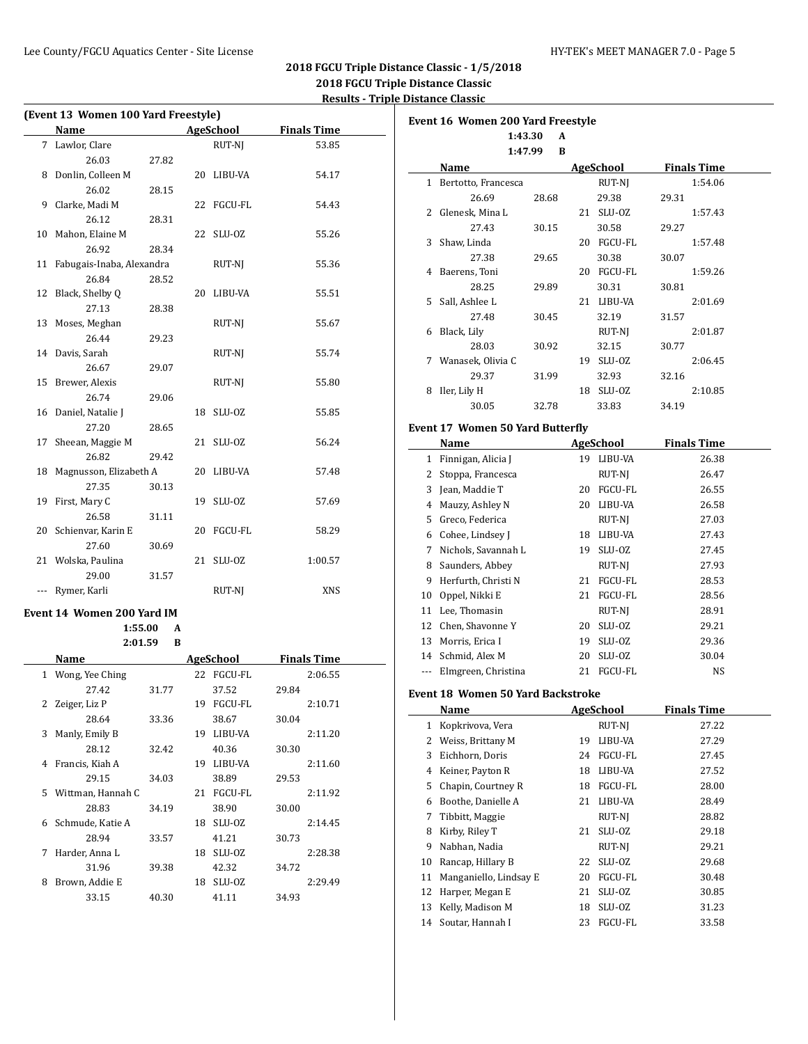| (Event 13 Women 100 Yard Freestyle) |                            |       |    |            |                    |
|-------------------------------------|----------------------------|-------|----|------------|--------------------|
|                                     | Name                       |       |    | AgeSchool  | <b>Finals Time</b> |
| 7                                   | Lawlor, Clare              |       |    | RUT-NJ     | 53.85              |
|                                     | 26.03                      | 27.82 |    |            |                    |
| 8                                   | Donlin, Colleen M          |       | 20 | LIBU-VA    | 54.17              |
|                                     | 26.02                      | 28.15 |    |            |                    |
| 9                                   | Clarke, Madi M             |       | 22 | FGCU-FL    | 54.43              |
|                                     | 26.12                      | 28.31 |    |            |                    |
| 10                                  | Mahon, Elaine M            |       | 22 | SLU-OZ     | 55.26              |
|                                     | 26.92                      | 28.34 |    |            |                    |
| 11                                  | Fabugais-Inaba, Alexandra  |       |    | RUT-NJ     | 55.36              |
|                                     | 26.84                      | 28.52 |    |            |                    |
| 12                                  | Black, Shelby Q            |       | 20 | LIBU-VA    | 55.51              |
|                                     | 27.13                      | 28.38 |    |            |                    |
| 13                                  | Moses, Meghan              |       |    | RUT-NJ     | 55.67              |
|                                     | 26.44                      | 29.23 |    |            |                    |
| 14                                  | Davis, Sarah               |       |    | RUT-NJ     | 55.74              |
|                                     | 26.67                      | 29.07 |    |            |                    |
| 15                                  | Brewer, Alexis             |       |    | RUT-NJ     | 55.80              |
|                                     | 26.74                      | 29.06 |    |            |                    |
| 16                                  | Daniel, Natalie J          |       | 18 | SLU-OZ     | 55.85              |
|                                     | 27.20                      | 28.65 |    |            |                    |
| 17                                  | Sheean, Maggie M           |       | 21 | SLU-OZ     | 56.24              |
|                                     | 26.82                      | 29.42 |    |            |                    |
| 18                                  | Magnusson, Elizabeth A     |       | 20 | LIBU-VA    | 57.48              |
|                                     | 27.35                      | 30.13 |    |            |                    |
| 19                                  | First, Mary C              |       | 19 | SLU-OZ     | 57.69              |
|                                     | 26.58                      | 31.11 |    |            |                    |
| 20                                  | Schienvar, Karin E         |       | 20 | FGCU-FL    | 58.29              |
|                                     | 27.60                      | 30.69 |    |            |                    |
|                                     | 21 Wolska, Paulina         |       | 21 | SLU-OZ     | 1:00.57            |
|                                     | 29.00                      | 31.57 |    |            |                    |
| $\cdots$                            | Rymer, Karli               |       |    | RUT-NJ     | XNS                |
|                                     | Event 14 Women 200 Yard IM |       |    |            |                    |
|                                     | 1:55.00                    | A     |    |            |                    |
|                                     | 2:01.59                    | B     |    |            |                    |
|                                     | Name                       |       |    | AgeSchool  | <b>Finals Time</b> |
| 1                                   | Wong, Yee Ching            |       |    | 22 FGCU-FL | 2:06.55            |
|                                     | 27.42                      | 31.77 |    | 37.52      | 29.84              |
| 2                                   | Zeiger, Liz P              |       | 19 | FGCU-FL    | 2:10.71            |
|                                     | 28.64                      | 33.36 |    | 38.67      | 30.04              |
| 3                                   | Manly, Emily B             |       | 19 | LIBU-VA    | 2:11.20            |
|                                     | 28.12                      | 32.42 |    | 40.36      | 30.30              |
| 4                                   | Francis, Kiah A            |       |    | 19 LIBU-VA | 2:11.60            |
|                                     | 29.15                      | 34.03 |    | 38.89      | 29.53              |
| 5                                   | Wittman, Hannah C          |       | 21 | FGCU-FL    | 2:11.92            |
|                                     | 28.83                      | 34.19 |    | 38.90      | 30.00              |
| 6                                   | Schmude, Katie A           |       |    | 18 SLU-0Z  | 2:14.45            |
|                                     | 28.94                      | 33.57 |    | 41.21      | 30.73              |
| 7                                   | Harder, Anna L             |       | 18 | SLU-OZ     | 2:28.38            |
|                                     | 31.96                      | 39.38 |    | 42.32      | 34.72              |
| 8                                   | Brown, Addie E             |       | 18 | SLU-OZ     | 2:29.49            |
|                                     | 33.15                      | 40.30 |    | 41.11      | 34.93              |
|                                     |                            |       |    |            |                    |

|              | <b>Event 16 Women 200 Yard Freestyle</b> |       |    |                     |                    |
|--------------|------------------------------------------|-------|----|---------------------|--------------------|
|              | 1:43.30                                  | A     |    |                     |                    |
|              | 1:47.99                                  | B     |    |                     |                    |
|              | Name                                     |       |    | AgeSchool           | <b>Finals Time</b> |
| $\mathbf{1}$ | Bertotto, Francesca                      |       |    | RUT-NJ              | 1:54.06            |
| 2            | 26.69                                    | 28.68 |    | 29.38               | 29.31              |
|              | Glenesk, Mina L                          |       |    | 21 SLU-0Z           | 1:57.43            |
|              | 27.43<br>Shaw. Linda                     | 30.15 |    | 30.58<br>20 FGCU-FL | 29.27<br>1:57.48   |
| 3            |                                          |       |    | 30.38               |                    |
|              | 27.38<br>4 Baerens, Toni                 | 29.65 |    | 20 FGCU-FL          | 30.07<br>1:59.26   |
|              | 28.25                                    | 29.89 |    | 30.31               |                    |
|              | 5 Sall, Ashlee L                         |       |    | 21 LIBU-VA          | 30.81<br>2:01.69   |
|              | 27.48                                    |       |    |                     |                    |
| 6            | Black, Lily                              | 30.45 |    | 32.19               | 31.57<br>2:01.87   |
|              |                                          |       |    | RUT-NJ              |                    |
|              | 28.03                                    | 30.92 |    | 32.15               | 30.77              |
|              | 7 Wanasek, Olivia C                      |       |    | 19 SLU-0Z           | 2:06.45            |
|              | 29.37                                    | 31.99 |    | 32.93               | 32.16              |
| 8            | Iler, Lily H                             |       |    | 18 SLU-0Z           | 2:10.85            |
|              | 30.05                                    | 32.78 |    | 33.83               | 34.19              |
|              | <b>Event 17 Women 50 Yard Butterfly</b>  |       |    |                     |                    |
|              | Name                                     |       |    | AgeSchool           | <b>Finals Time</b> |
|              | 1 Finnigan, Alicia J                     |       |    | 19 LIBU-VA          | 26.38              |
|              | 2 Stoppa, Francesca                      |       |    | RUT-NJ              | 26.47              |
|              | 3 Jean, Maddie T                         |       |    | 20 FGCU-FL          | 26.55              |
|              | 4 Mauzy, Ashley N                        |       |    | 20 LIBU-VA          | 26.58              |
|              | 5 Greco, Federica                        |       |    | RUT-NJ              | 27.03              |
|              | 6 Cohee, Lindsey J                       |       |    | 18 LIBU-VA          | 27.43              |
| 7            | Nichols, Savannah L                      |       |    | 19 SLU-0Z           | 27.45              |
| 8            | Saunders, Abbey                          |       |    | RUT-NJ              | 27.93              |
| 9            | Herfurth, Christi N                      |       |    | 21 FGCU-FL          | 28.53              |
| 10           | Oppel, Nikki E                           |       |    | 21 FGCU-FL          | 28.56              |
|              | 11 Lee, Thomasin                         |       |    | RUT-NJ              | 28.91              |
|              | 12 Chen, Shavonne Y                      |       |    | 20 SLU-0Z           | 29.21              |
|              | 13 Morris, Erica I                       |       | 19 | SLU-OZ              | 29.36              |
|              | 14 Schmid. Alex M                        |       | 20 | SLU-OZ              | 30.04              |
| ---          | Elmgreen, Christina                      |       |    | 21 FGCU-FL          | NS                 |
|              |                                          |       |    |                     |                    |
|              | <b>Event 18 Women 50 Yard Backstroke</b> |       |    |                     |                    |
|              | <b>Name</b>                              |       |    | <b>AgeSchool</b>    | <b>Finals Time</b> |
| 1            | Kopkrivova, Vera                         |       |    | RUT-NJ              | 27.22              |
| 2            | Weiss, Brittany M                        |       | 19 | LIBU-VA             | 27.29              |
| 3            | Eichhorn, Doris                          |       | 24 | FGCU-FL             | 27.45              |
| 4            | Keiner, Payton R                         |       | 18 | LIBU-VA             | 27.52              |
| 5            | Chapin, Courtney R                       |       | 18 | FGCU-FL             | 28.00              |
| 6            | Boothe, Danielle A                       |       | 21 | LIBU-VA             | 28.49              |
| 7            | Tibbitt, Maggie                          |       |    | RUT-NJ              | 28.82              |
| 8            | Kirby, Riley T                           |       | 21 | SLU-OZ              | 29.18              |
| 9            | Nabhan, Nadia                            |       |    | RUT-NJ              | 29.21              |
| 10           | Rancap, Hillary B                        |       | 22 | SLU-OZ              | 29.68              |
| 11           | Manganiello, Lindsay E                   |       | 20 | FGCU-FL             | 30.48              |
| 12           | Harper, Megan E                          |       | 21 | SLU-OZ              | 30.85              |
| 13           | Kelly, Madison M                         |       | 18 | SLU-OZ              | 31.23              |
| 14           | Soutar, Hannah I                         |       | 23 | FGCU-FL             | 33.58              |
|              |                                          |       |    |                     |                    |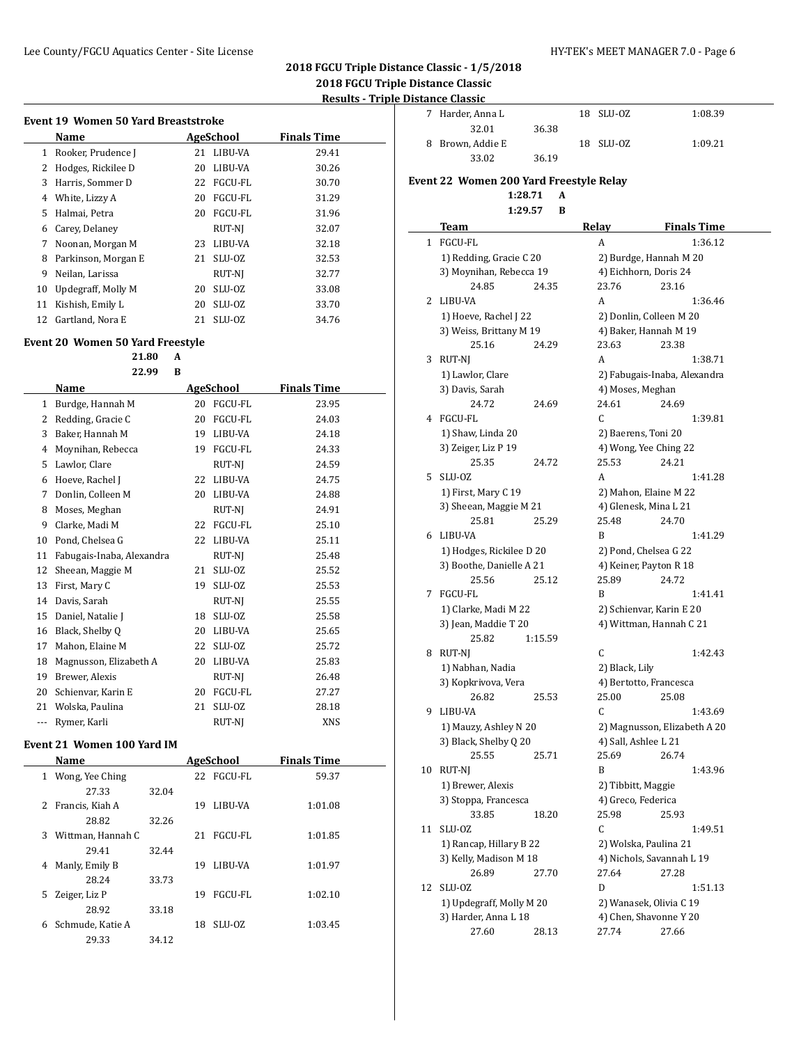# **2018 FGCU Triple Distance Classic - 1/5/2018 2018 FGCU Triple Distance Classic**

# **Results - Triple Distance Classic**

| Event 19 Women 50 Yard Breaststroke |                     |    |                |                    |  |  |  |
|-------------------------------------|---------------------|----|----------------|--------------------|--|--|--|
|                                     | Name                |    | AgeSchool      | <b>Finals Time</b> |  |  |  |
| 1                                   | Rooker, Prudence J  | 21 | LIBU-VA        | 29.41              |  |  |  |
| 2                                   | Hodges, Rickilee D  | 20 | LIBU-VA        | 30.26              |  |  |  |
| 3                                   | Harris, Sommer D    | 22 | FGCU-FL        | 30.70              |  |  |  |
| 4                                   | White, Lizzy A      | 20 | <b>FGCU-FL</b> | 31.29              |  |  |  |
| 5.                                  | Halmai, Petra       | 20 | FGCU-FL        | 31.96              |  |  |  |
| 6                                   | Carey, Delaney      |    | RUT-NI         | 32.07              |  |  |  |
| 7                                   | Noonan, Morgan M    | 23 | LIBU-VA        | 32.18              |  |  |  |
| 8                                   | Parkinson, Morgan E | 21 | SLU-OZ         | 32.53              |  |  |  |
| 9                                   | Neilan, Larissa     |    | RUT-NJ         | 32.77              |  |  |  |
| 10                                  | Updegraff, Molly M  | 20 | SLU-OZ         | 33.08              |  |  |  |
| 11                                  | Kishish, Emily L    | 20 | SLU-OZ         | 33.70              |  |  |  |
| 12                                  | Gartland, Nora E    | 21 | SLU-OZ         | 34.76              |  |  |  |

|       | 21.80<br>22.99            | A<br>B |                |                    |
|-------|---------------------------|--------|----------------|--------------------|
|       | Name                      |        | AgeSchool      | <b>Finals Time</b> |
| 1     | Burdge, Hannah M          | 20     | <b>FGCU-FL</b> | 23.95              |
| 2     | Redding, Gracie C         | 20     | <b>FGCU-FL</b> | 24.03              |
| 3     | Baker, Hannah M           | 19     | LIBU-VA        | 24.18              |
| 4     | Moynihan, Rebecca         | 19     | FGCU-FL        | 24.33              |
| 5     | Lawlor, Clare             |        | RUT-NJ         | 24.59              |
| 6     | Hoeve, Rachel J           | 22     | LIBU-VA        | 24.75              |
| 7     | Donlin, Colleen M         | 20     | LIBU-VA        | 24.88              |
| 8     | Moses, Meghan             |        | RUT-NI         | 24.91              |
| 9     | Clarke, Madi M            | 22     | <b>FGCU-FL</b> | 25.10              |
| 10    | Pond, Chelsea G           | 22     | LIBU-VA        | 25.11              |
| 11    | Fabugais-Inaba, Alexandra |        | RUT-NJ         | 25.48              |
| 12    | Sheean, Maggie M          | 21     | SLU-OZ         | 25.52              |
| 13    | First, Mary C             | 19     | SLU-OZ         | 25.53              |
| 14    | Davis, Sarah              |        | RUT-NI         | 25.55              |
| 15    | Daniel, Natalie J         | 18     | SLU-OZ         | 25.58              |
| 16    | Black, Shelby Q           | 20     | LIBU-VA        | 25.65              |
| 17    | Mahon, Elaine M           | 22     | SLU-OZ         | 25.72              |
| 18    | Magnusson, Elizabeth A    | 20     | LIBU-VA        | 25.83              |
| 19    | Brewer, Alexis            |        | RUT-NJ         | 26.48              |
| 20    | Schienvar, Karin E        | 20     | FGCU-FL        | 27.27              |
| 21    | Wolska, Paulina           | 21     | SLU-OZ         | 28.18              |
| $---$ | Rymer, Karli              |        | RUT-NI         | <b>XNS</b>         |

|    | Name              |       |    | AgeSchool      | <b>Finals</b> Time |  |
|----|-------------------|-------|----|----------------|--------------------|--|
| 1  | Wong, Yee Ching   |       | 22 | <b>FGCU-FL</b> | 59.37              |  |
|    | 27.33             | 32.04 |    |                |                    |  |
| 2  | Francis, Kiah A   |       | 19 | LIBU-VA        | 1:01.08            |  |
|    | 28.82             | 32.26 |    |                |                    |  |
| 3  | Wittman, Hannah C |       | 21 | FGCU-FL        | 1:01.85            |  |
|    | 29.41             | 32.44 |    |                |                    |  |
| 4  | Manly, Emily B    |       | 19 | LIBU-VA        | 1:01.97            |  |
|    | 28.24             | 33.73 |    |                |                    |  |
| 5. | Zeiger, Liz P     |       | 19 | FGCU-FL        | 1:02.10            |  |
|    | 28.92             | 33.18 |    |                |                    |  |
| 6  | Schmude, Katie A  |       | 18 | SLU-0Z         | 1:03.45            |  |
|    | 29.33             | 34.12 |    |                |                    |  |
|    |                   |       |    |                |                    |  |

| istance Ciassic  |       |                      |  |  |  |
|------------------|-------|----------------------|--|--|--|
| 7 Harder, Anna L |       | 18 SLU-0Z<br>1:08.39 |  |  |  |
| 32.01            | 36.38 |                      |  |  |  |
| 8 Brown, Addie E |       | 18 SLU-0Z<br>1:09.21 |  |  |  |
| 33.02            | 36.19 |                      |  |  |  |

# **Event 22 Women 200 Yard Freestyle Relay**

**1:28.71 A 1:29.57 B**

|              | Team                     | <b>Relay</b>   | <b>Finals Time</b>           |
|--------------|--------------------------|----------------|------------------------------|
| $\mathbf 1$  | FGCU-FL                  | A              | 1:36.12                      |
|              | 1) Redding, Gracie C 20  |                | 2) Burdge, Hannah M 20       |
|              | 3) Moynihan, Rebecca 19  |                | 4) Eichhorn, Doris 24        |
|              | 24.85<br>24.35           | 23.76          | 23.16                        |
| $\mathbf{2}$ | LIBU-VA                  | A              | 1:36.46                      |
|              | 1) Hoeve, Rachel J 22    |                | 2) Donlin, Colleen M 20      |
|              | 3) Weiss, Brittany M 19  |                | 4) Baker, Hannah M 19        |
|              | 25.16<br>24.29           | 23.63          | 23.38                        |
| 3            | RUT-NJ                   | A              | 1:38.71                      |
|              | 1) Lawlor, Clare         |                | 2) Fabugais-Inaba, Alexandra |
|              | 3) Davis, Sarah          |                | 4) Moses, Meghan             |
|              | 24.72<br>24.69           | 24.61          | 24.69                        |
| 4            | FGCU-FL                  | C              | 1:39.81                      |
|              | 1) Shaw, Linda 20        |                | 2) Baerens, Toni 20          |
|              | 3) Zeiger, Liz P 19      |                | 4) Wong, Yee Ching 22        |
|              | 25.35<br>24.72           | 25.53          | 24.21                        |
| 5            | SLU-OZ                   | A              | 1:41.28                      |
|              | 1) First, Mary C 19      |                | 2) Mahon, Elaine M 22        |
|              | 3) Sheean, Maggie M 21   |                | 4) Glenesk, Mina L 21        |
|              | 25.81<br>25.29           | 25.48          | 24.70                        |
| 6            | LIBU-VA                  | B              | 1:41.29                      |
|              | 1) Hodges, Rickilee D 20 |                | 2) Pond, Chelsea G 22        |
|              | 3) Boothe, Danielle A 21 |                | 4) Keiner, Payton R 18       |
|              | 25.56<br>25.12           | 25.89          | 24.72                        |
| 7            | FGCU-FL                  | B              | 1:41.41                      |
|              | 1) Clarke, Madi M 22     |                | 2) Schienvar, Karin E 20     |
|              | 3) Jean, Maddie T 20     |                | 4) Wittman, Hannah C 21      |
|              | 25.82<br>1:15.59         |                |                              |
| 8            | RUT-NJ                   | C              | 1:42.43                      |
|              | 1) Nabhan, Nadia         | 2) Black, Lily |                              |
|              | 3) Kopkrivova, Vera      |                | 4) Bertotto, Francesca       |
|              | 26.82<br>25.53           | 25.00          | 25.08                        |
| 9.           | LIBU-VA                  | C              | 1:43.69                      |
|              | 1) Mauzy, Ashley N 20    |                | 2) Magnusson, Elizabeth A 20 |
|              | 3) Black, Shelby Q 20    |                | 4) Sall, Ashlee L 21         |
|              | 25.55<br>25.71           | 25.69          | 26.74                        |
| 10           | RUT-NJ                   | B              | 1:43.96                      |
|              | 1) Brewer, Alexis        |                | 2) Tibbitt, Maggie           |
|              | 3) Stoppa, Francesca     |                | 4) Greco, Federica           |
|              | 18.20<br>33.85           | 25.98          | 25.93                        |
| 11           | SLU-OZ                   | C              | 1:49.51                      |
|              | 1) Rancap, Hillary B 22  |                | 2) Wolska, Paulina 21        |
|              | 3) Kelly, Madison M 18   |                | 4) Nichols, Savannah L 19    |
|              | 26.89<br>27.70           | 27.64          | 27.28                        |
| 12           | SLU-OZ                   | D              | 1:51.13                      |
|              | 1) Updegraff, Molly M 20 |                | 2) Wanasek, Olivia C 19      |
|              | 3) Harder, Anna L 18     |                | 4) Chen, Shavonne Y 20       |
|              | 27.60<br>28.13           | 27.74          | 27.66                        |